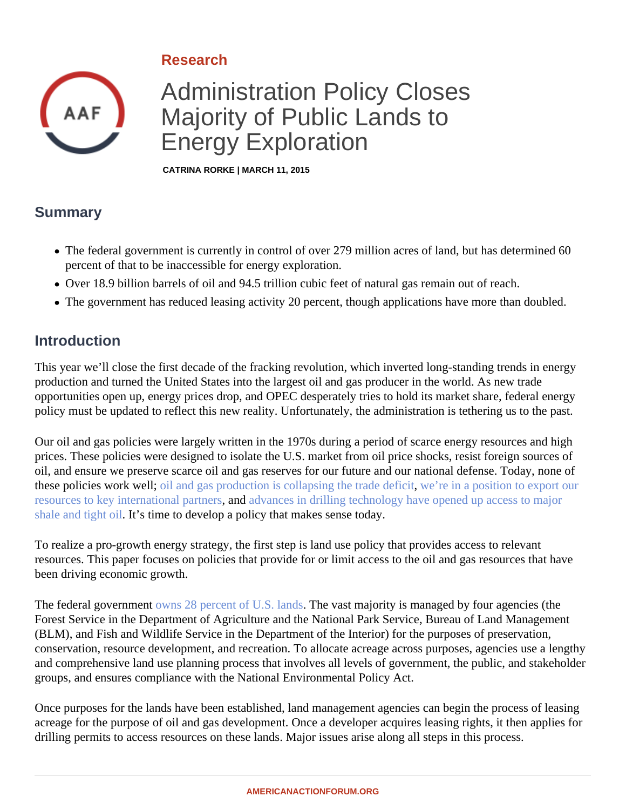# Research

# Administration Policy Closes Majority of Public Lands to Energy Exploration

CATRINA RORKE | MARCH 11, 2015

## Summary

- The federal government is currently in control of over 279 million acres of land, but has determined 60 percent of that to be inaccessible for energy exploration.
- Over 18.9 billion barrels of oil and 94.5 trillion cubic feet of natural gas remain out of reach.
- The government has reduced leasing activity 20 percent, though applications have more than doubled.

### Introduction

This year we'll close the first decade of the fracking revolution, which inverted long-standing trends in energy production and turned the United States into the largest oil and gas producer in the world. As new trade opportunities open up, energy prices drop, and OPEC desperately tries to hold its market share, federal energy policy must be updated to reflect this new reality. Unfortunately, the administration is tethering us to the past.

Our oil and gas policies were largely written in the 1970s during a period of scarce energy resources and high prices. These policies were designed to isolate the U.S. market from oil price shocks, resist foreign sources of oil, and ensure we preserve scarce oil and gas reserves for our future and our national defense. Today, none these policies work welbil and gas production is collapsing the trade deficitie in a position to export our [resources to key international partn](�� h t t p : / / a m e r i c a n a c t i o n f o r u m . o r g / i n s i g h t s / e n e r g y - e x p o r t s - c a n - b o o s t - e n e r g y - s e c u r i t y - a n d - d i p l o m a t i c - s t r e n g t h)ers dadvances in drilling technology have opened up access to major [shale and tight o](�� h t t p s : / / w w w . e i a . g o v / t o d a y i n e n e r g y / d e t a i l . c f m ? i d = 7 3 7 0)illt's time to develop a policy that makes sense today.

To realize a pro-growth energy strategy, the first step is land use policy that provides access to relevant resources. This paper focuses on policies that provide for or limit access to the oil and gas resources that hav been driving economic growth.

The federal government as 28 percent of U.S. land the vast majority is managed by four agencies (the Forest Service in the Department of Agriculture and the National Park Service, Bureau of Land Management (BLM), and Fish and Wildlife Service in the Department of the Interior) for the purposes of preservation, conservation, resource development, and recreation. To allocate acreage across purposes, agencies use a le and comprehensive land use planning process that involves all levels of government, the public, and stakeholder groups, and ensures compliance with the National Environmental Policy Act.

Once purposes for the lands have been established, land management agencies can begin the process of leasting acreage for the purpose of oil and gas development. Once a developer acquires leasing rights, it then applies drilling permits to access resources on these lands. Major issues arise along all steps in this process.